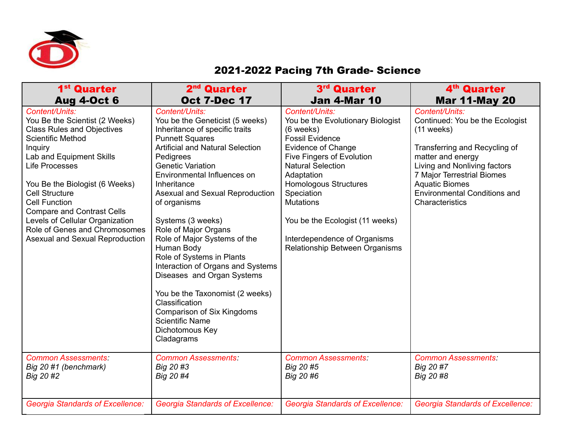

## 2021-2022 Pacing 7th Grade- Science

| 1 <sup>st</sup> Quarter                                                                                                                                                                                                                                                                                                                                                                                          | 2 <sup>nd</sup> Quarter                                                                                                                                                                                                                                                                                                                                                                                                                                                                                                                                                                                                                     | 3rd Quarter                                                                                                                                                                                                                                                                                                                                                           | 4 <sup>th</sup> Quarter                                                                                                                                                                                                                                                  |
|------------------------------------------------------------------------------------------------------------------------------------------------------------------------------------------------------------------------------------------------------------------------------------------------------------------------------------------------------------------------------------------------------------------|---------------------------------------------------------------------------------------------------------------------------------------------------------------------------------------------------------------------------------------------------------------------------------------------------------------------------------------------------------------------------------------------------------------------------------------------------------------------------------------------------------------------------------------------------------------------------------------------------------------------------------------------|-----------------------------------------------------------------------------------------------------------------------------------------------------------------------------------------------------------------------------------------------------------------------------------------------------------------------------------------------------------------------|--------------------------------------------------------------------------------------------------------------------------------------------------------------------------------------------------------------------------------------------------------------------------|
| <b>Aug 4-Oct 6</b>                                                                                                                                                                                                                                                                                                                                                                                               | <b>Oct 7-Dec 17</b>                                                                                                                                                                                                                                                                                                                                                                                                                                                                                                                                                                                                                         | <b>Jan 4-Mar 10</b>                                                                                                                                                                                                                                                                                                                                                   | <b>Mar 11-May 20</b>                                                                                                                                                                                                                                                     |
| Content/Units:<br>You Be the Scientist (2 Weeks)<br><b>Class Rules and Objectives</b><br><b>Scientific Method</b><br>Inquiry<br>Lab and Equipment Skills<br><b>Life Processes</b><br>You Be the Biologist (6 Weeks)<br><b>Cell Structure</b><br><b>Cell Function</b><br><b>Compare and Contrast Cells</b><br>Levels of Cellular Organization<br>Role of Genes and Chromosomes<br>Asexual and Sexual Reproduction | Content/Units:<br>You be the Geneticist (5 weeks)<br>Inheritance of specific traits<br><b>Punnett Squares</b><br><b>Artificial and Natural Selection</b><br>Pedigrees<br><b>Genetic Variation</b><br>Environmental Influences on<br>Inheritance<br>Asexual and Sexual Reproduction<br>of organisms<br>Systems (3 weeks)<br>Role of Major Organs<br>Role of Major Systems of the<br>Human Body<br>Role of Systems in Plants<br>Interaction of Organs and Systems<br>Diseases and Organ Systems<br>You be the Taxonomist (2 weeks)<br>Classification<br>Comparison of Six Kingdoms<br><b>Scientific Name</b><br>Dichotomous Key<br>Cladagrams | Content/Units:<br>You be the Evolutionary Biologist<br>(6 weeks)<br><b>Fossil Evidence</b><br><b>Evidence of Change</b><br>Five Fingers of Evolution<br><b>Natural Selection</b><br>Adaptation<br><b>Homologous Structures</b><br>Speciation<br><b>Mutations</b><br>You be the Ecologist (11 weeks)<br>Interdependence of Organisms<br>Relationship Between Organisms | Content/Units:<br>Continued: You be the Ecologist<br>$(11$ weeks)<br>Transferring and Recycling of<br>matter and energy<br>Living and Nonliving factors<br>7 Major Terrestrial Biomes<br><b>Aquatic Biomes</b><br><b>Environmental Conditions and</b><br>Characteristics |
| <b>Common Assessments:</b>                                                                                                                                                                                                                                                                                                                                                                                       | <b>Common Assessments:</b>                                                                                                                                                                                                                                                                                                                                                                                                                                                                                                                                                                                                                  | <b>Common Assessments:</b>                                                                                                                                                                                                                                                                                                                                            | <b>Common Assessments:</b>                                                                                                                                                                                                                                               |
| Big 20 #1 (benchmark)                                                                                                                                                                                                                                                                                                                                                                                            | Big 20 #3                                                                                                                                                                                                                                                                                                                                                                                                                                                                                                                                                                                                                                   | Big 20 #5                                                                                                                                                                                                                                                                                                                                                             | Big 20 #7                                                                                                                                                                                                                                                                |
| Big 20 #2                                                                                                                                                                                                                                                                                                                                                                                                        | Big 20 #4                                                                                                                                                                                                                                                                                                                                                                                                                                                                                                                                                                                                                                   | Big 20 #6                                                                                                                                                                                                                                                                                                                                                             | Big 20 #8                                                                                                                                                                                                                                                                |
| <b>Georgia Standards of Excellence:</b>                                                                                                                                                                                                                                                                                                                                                                          | <b>Georgia Standards of Excellence:</b>                                                                                                                                                                                                                                                                                                                                                                                                                                                                                                                                                                                                     | <b>Georgia Standards of Excellence:</b>                                                                                                                                                                                                                                                                                                                               | <b>Georgia Standards of Excellence:</b>                                                                                                                                                                                                                                  |